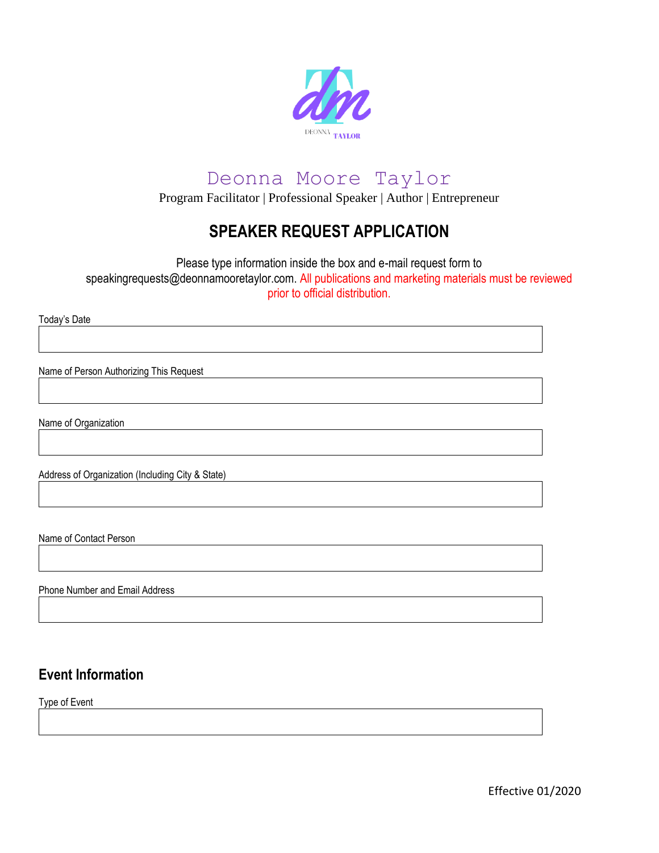

Program Facilitator | Professional Speaker | Author | Entrepreneur

## **SPEAKER REQUEST APPLICATION**

Please type information inside the box and e-mail request form to speakingrequests@deonnamooretaylor.com. All publications and marketing materials must be reviewed prior to official distribution.

Today's Date

Name of Person Authorizing This Request

Name of Organization

Address of Organization (Including City & State)

Name of Contact Person

Phone Number and Email Address

### **Event Information**

Type of Event

Effective 01/2020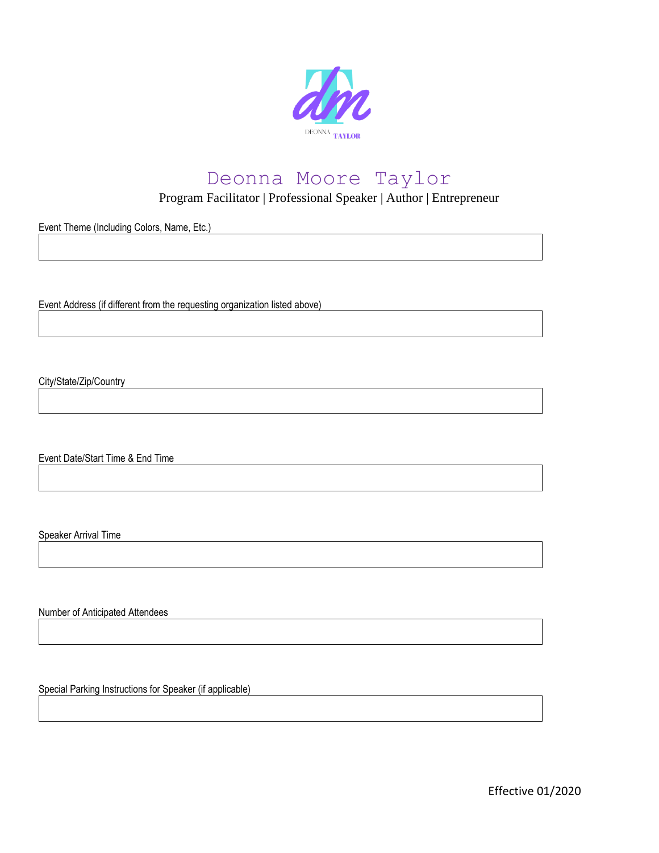

Program Facilitator | Professional Speaker | Author | Entrepreneur

Event Theme (Including Colors, Name, Etc.)

Event Address (if different from the requesting organization listed above)

City/State/Zip/Country

Event Date/Start Time & End Time

Speaker Arrival Time

Number of Anticipated Attendees

Special Parking Instructions for Speaker (if applicable)

Effective 01/2020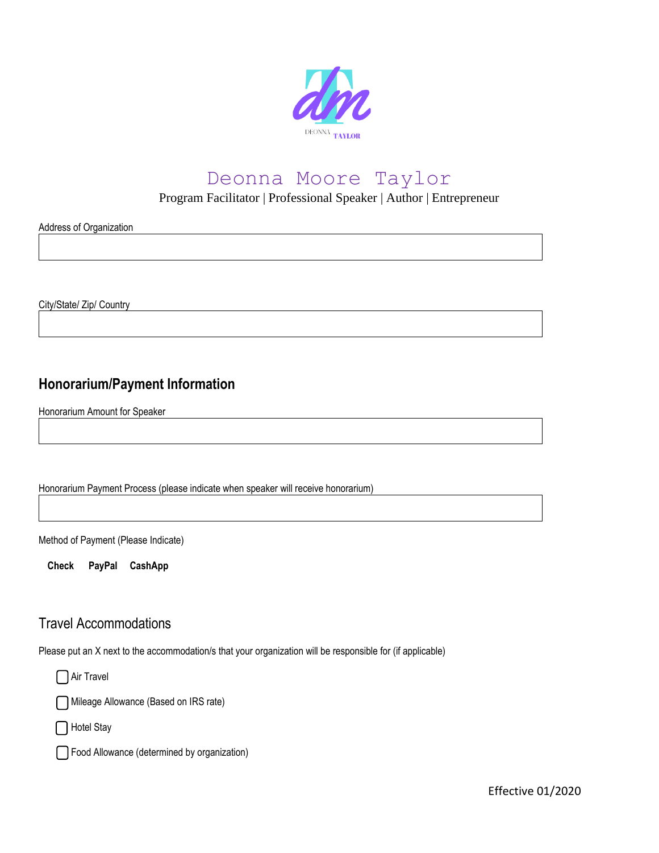

Program Facilitator | Professional Speaker | Author | Entrepreneur

Address of Organization

City/State/ Zip/ Country

## **Honorarium/Payment Information**

Honorarium Amount for Speaker

Honorarium Payment Process (please indicate when speaker will receive honorarium)

Method of Payment (Please Indicate)

**Check PayPal CashApp**

#### Travel Accommodations

Please put an X next to the accommodation/s that your organization will be responsible for (if applicable)

□ Air Travel

Mileage Allowance (Based on IRS rate)

□ Hotel Stay

Food Allowance (determined by organization)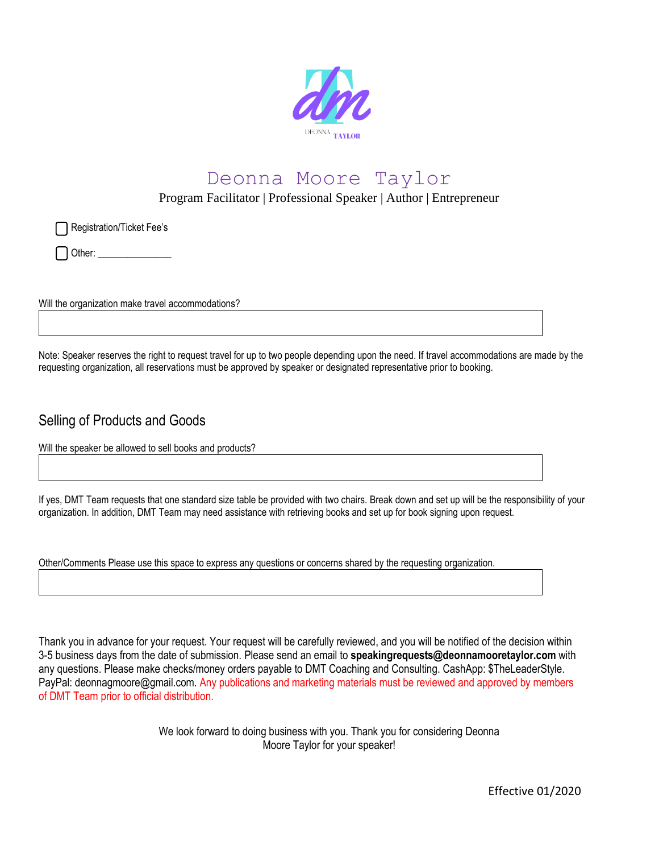

Program Facilitator | Professional Speaker | Author | Entrepreneur

Registration/Ticket Fee's

Other: \_\_\_\_\_\_\_\_\_\_\_\_\_\_\_

Will the organization make travel accommodations?

Note: Speaker reserves the right to request travel for up to two people depending upon the need. If travel accommodations are made by the requesting organization, all reservations must be approved by speaker or designated representative prior to booking.

#### Selling of Products and Goods

Will the speaker be allowed to sell books and products?

If yes, DMT Team requests that one standard size table be provided with two chairs. Break down and set up will be the responsibility of your organization. In addition, DMT Team may need assistance with retrieving books and set up for book signing upon request.

Other/Comments Please use this space to express any questions or concerns shared by the requesting organization.

Thank you in advance for your request. Your request will be carefully reviewed, and you will be notified of the decision within 3-5 business days from the date of submission. Please send an email to **speakingrequests@deonnamooretaylor.com** with any questions. Please make checks/money orders payable to DMT Coaching and Consulting. CashApp: \$TheLeaderStyle. PayPal: deonnagmoore@gmail.com. Any publications and marketing materials must be reviewed and approved by members of DMT Team prior to official distribution.

> We look forward to doing business with you. Thank you for considering Deonna Moore Taylor for your speaker!

> > Effective 01/2020